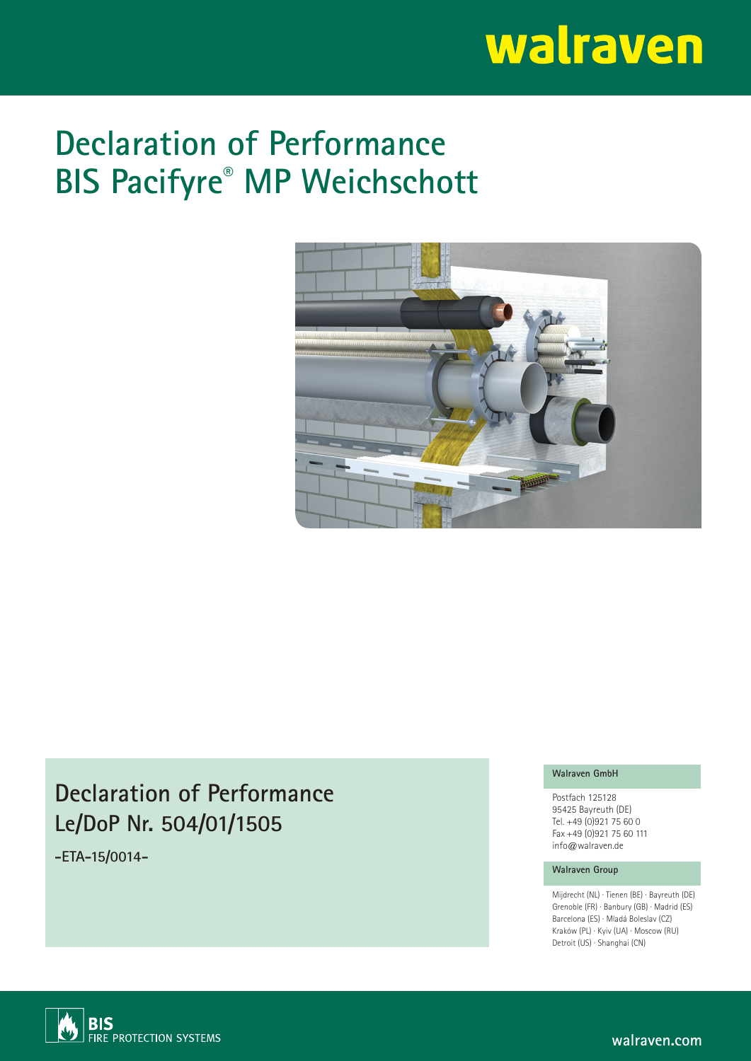# walraven

## **Declaration of Performance BIS Pacifyre® MP Weichschott**



### **Declaration of Performance Le/DoP Nr. 504/01/1505**

**-ETA-15/0014-**

#### **Walraven GmbH**

Postfach 125128 95425 Bayreuth (DE) Tel. +49 (0)921 75 60 0 Fax +49 (0)921 75 60 111 info@walraven.de

#### **Walraven Group**

Mijdrecht (NL) · Tienen (BE) · Bayreuth (DE) Grenoble (FR) · Banbury (GB) · Madrid (ES) Barcelona (ES) · Mladá Boleslav (CZ) Kraków (PL) · Kyiv (UA) · Moscow (RU) Detroit (US) · Shanghai (CN)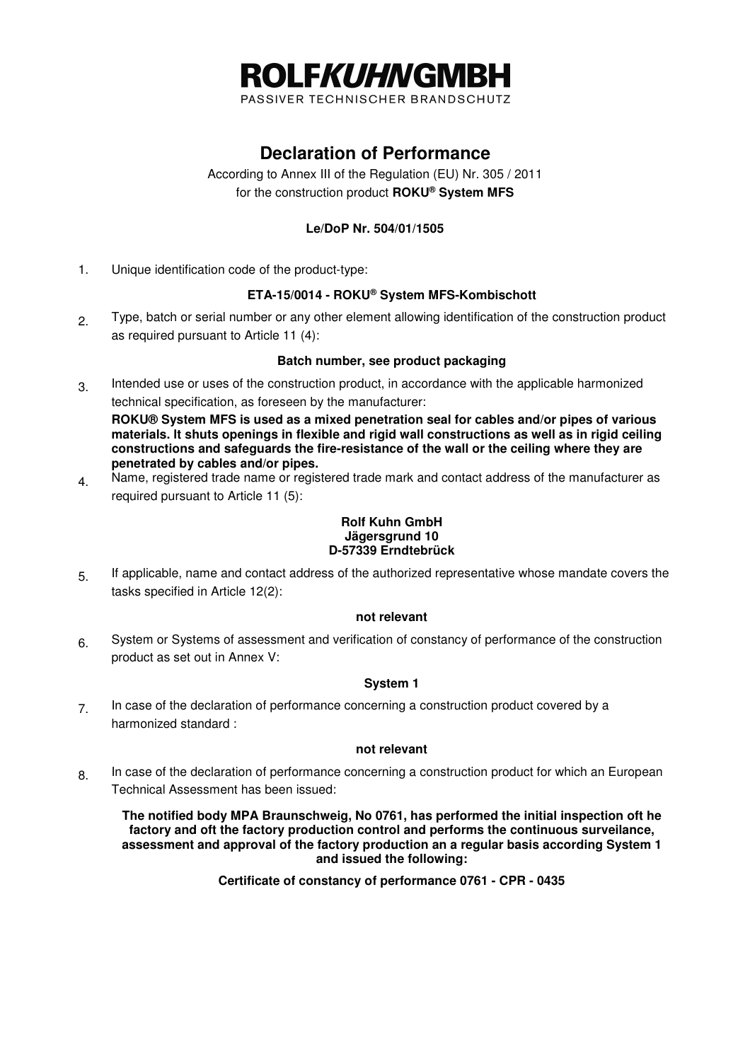

PASSIVER TECHNISCHER BRANDSCHUTZ

#### **Declaration of Performance**

According to Annex III of the Regulation (EU) Nr. 305 / 2011 for the construction product **ROKU® System MFS**

#### **Le/DoP Nr. 504/01/1505**

1. Unique identification code of the product-type:

#### **ETA-15/0014 - ROKU® System MFS-Kombischott**

2. Type, batch or serial number or any other element allowing identification of the construction product as required pursuant to Article 11 (4):

#### **Batch number, see product packaging**

3. Intended use or uses of the construction product, in accordance with the applicable harmonized technical specification, as foreseen by the manufacturer:

**ROKU® System MFS is used as a mixed penetration seal for cables and/or pipes of various materials. lt shuts openings in flexible and rigid wall constructions as well as in rigid ceiling constructions and safeguards the fire-resistance of the wall or the ceiling where they are penetrated by cables and/or pipes.** 

4. Name, registered trade name or registered trade mark and contact address of the manufacturer as required pursuant to Article 11 (5):

#### **Rolf Kuhn GmbH Jägersgrund 10 D-57339 Erndtebrück**

5. If applicable, name and contact address of the authorized representative whose mandate covers the tasks specified in Article 12(2):

#### **not relevant**

6. System or Systems of assessment and verification of constancy of performance of the construction product as set out in Annex V:

#### **System 1**

7 In case of the declaration of performance concerning a construction product covered by a harmonized standard :

#### **not relevant**

8. In case of the declaration of performance concerning a construction product for which an European Technical Assessment has been issued:

 **The notified body MPA Braunschweig, No 0761, has performed the initial inspection oft he factory and oft the factory production control and performs the continuous surveilance, assessment and approval of the factory production an a regular basis according System 1 and issued the following:** 

**Certificate of constancy of performance 0761 - CPR - 0435**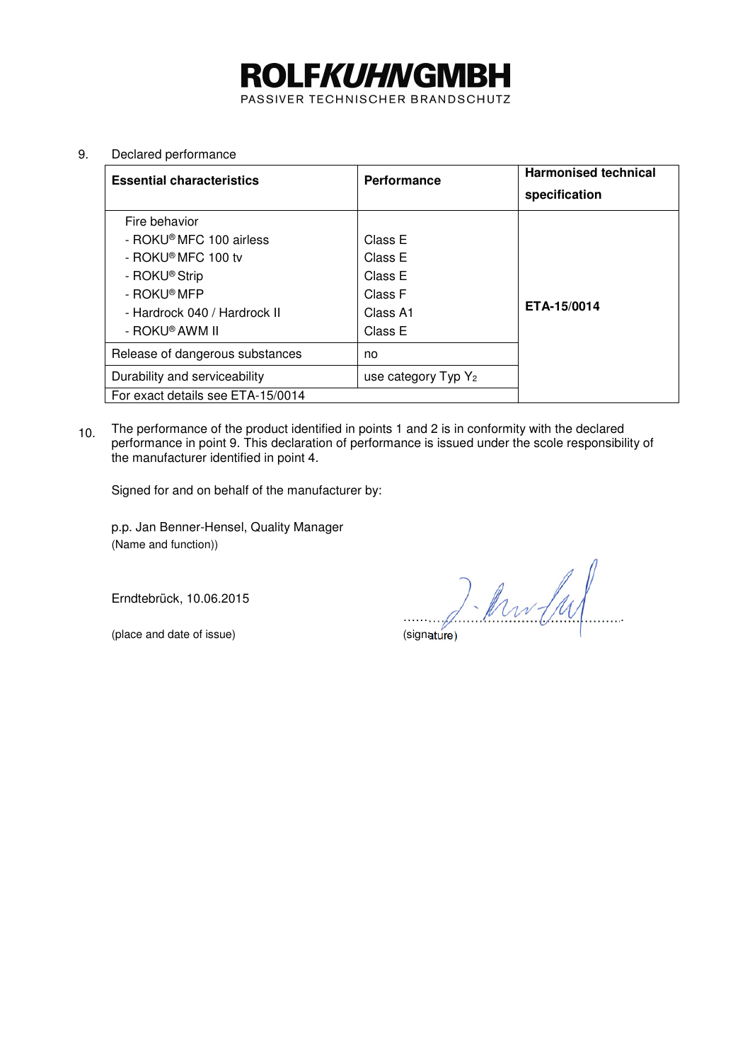# **ROLFKUHNGMBH**

PASSIVER TECHNISCHER BRANDSCHUTZ

#### 9. Declared performance

| <b>Essential characteristics</b>  | Performance            | <b>Harmonised technical</b><br>specification |
|-----------------------------------|------------------------|----------------------------------------------|
| Fire behavior                     |                        |                                              |
| - ROKU® MFC 100 airless           | Class E                |                                              |
| - ROKU® MFC 100 tv                | Class E                |                                              |
| - ROKU <sup>®</sup> Strip         | Class E                |                                              |
| - ROKU® MFP                       | Class F                | ETA-15/0014                                  |
| - Hardrock 040 / Hardrock II      | Class A1               |                                              |
| - ROKU® AWM II                    | Class E                |                                              |
| Release of dangerous substances   | no                     |                                              |
| Durability and serviceability     | use category Typ $Y_2$ |                                              |
| For exact details see ETA-15/0014 |                        |                                              |

10. The performance of the product identified in points 1 and 2 is in conformity with the declared performance in point 9. This declaration of performance is issued under the scole responsibility of the manufacturer identified in point 4.

Signed for and on behalf of the manufacturer by:

p.p. Jan Benner-Hensel, Quality Manager (Name and function))

Erndtebrück, 10.06.2015

(place and date of issue) (signature)

 $2$  . And  $\lfloor\omega\rfloor$